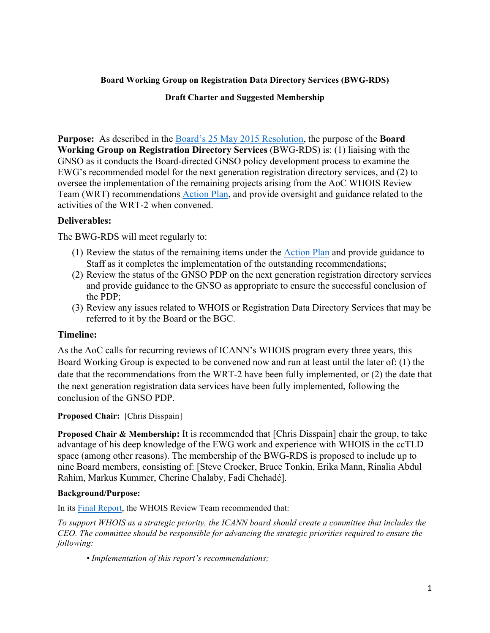## **Board Working Group on Registration Data Directory Services (BWG-RDS)**

#### **Draft Charter and Suggested Membership**

**Purpose:** As described in the Board's 25 May 2015 Resolution, the purpose of the **Board Working Group on Registration Directory Services** (BWG-RDS) is: (1) liaising with the GNSO as it conducts the Board-directed GNSO policy development process to examine the EWG's recommended model for the next generation registration directory services, and (2) to oversee the implementation of the remaining projects arising from the AoC WHOIS Review Team (WRT) recommendations Action Plan, and provide oversight and guidance related to the activities of the WRT-2 when convened.

## **Deliverables:**

The BWG-RDS will meet regularly to:

- (1) Review the status of the remaining items under the Action Plan and provide guidance to Staff as it completes the implementation of the outstanding recommendations;
- (2) Review the status of the GNSO PDP on the next generation registration directory services and provide guidance to the GNSO as appropriate to ensure the successful conclusion of the PDP;
- (3) Review any issues related to WHOIS or Registration Data Directory Services that may be referred to it by the Board or the BGC.

## **Timeline:**

As the AoC calls for recurring reviews of ICANN's WHOIS program every three years, this Board Working Group is expected to be convened now and run at least until the later of: (1) the date that the recommendations from the WRT-2 have been fully implemented, or (2) the date that the next generation registration data services have been fully implemented, following the conclusion of the GNSO PDP.

## **Proposed Chair:** [Chris Disspain]

**Proposed Chair & Membership:** It is recommended that [Chris Disspain] chair the group, to take advantage of his deep knowledge of the EWG work and experience with WHOIS in the ccTLD space (among other reasons). The membership of the BWG-RDS is proposed to include up to nine Board members, consisting of: [Steve Crocker, Bruce Tonkin, Erika Mann, Rinalia Abdul Rahim, Markus Kummer, Cherine Chalaby, Fadi Chehadé].

#### **Background/Purpose:**

In its Final Report, the WHOIS Review Team recommended that:

*To support WHOIS as a strategic priority, the ICANN board should create a committee that includes the CEO. The committee should be responsible for advancing the strategic priorities required to ensure the following:*

*• Implementation of this report's recommendations;*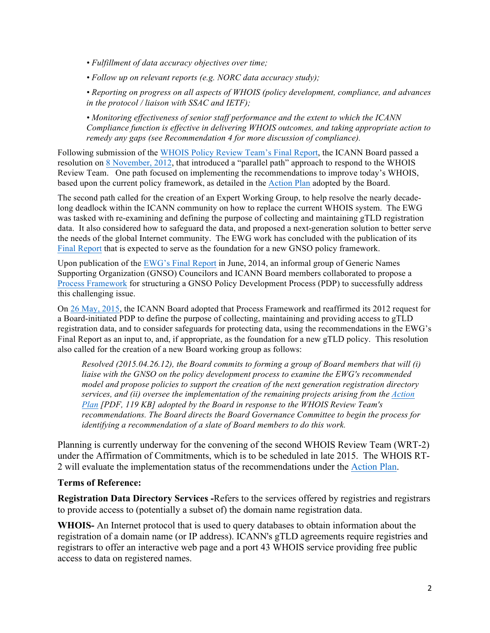*• Fulfillment of data accuracy objectives over time;*

*• Follow up on relevant reports (e.g. NORC data accuracy study);*

*• Reporting on progress on all aspects of WHOIS (policy development, compliance, and advances in the protocol / liaison with SSAC and IETF);*

*• Monitoring effectiveness of senior staff performance and the extent to which the ICANN Compliance function is effective in delivering WHOIS outcomes, and taking appropriate action to remedy any gaps (see Recommendation 4 for more discussion of compliance).*

Following submission of the WHOIS Policy Review Team's Final Report, the ICANN Board passed a resolution on 8 November, 2012, that introduced a "parallel path" approach to respond to the WHOIS Review Team. One path focused on implementing the recommendations to improve today's WHOIS, based upon the current policy framework, as detailed in the Action Plan adopted by the Board.

The second path called for the creation of an Expert Working Group, to help resolve the nearly decadelong deadlock within the ICANN community on how to replace the current WHOIS system. The EWG was tasked with re-examining and defining the purpose of collecting and maintaining gTLD registration data. It also considered how to safeguard the data, and proposed a next-generation solution to better serve the needs of the global Internet community. The EWG work has concluded with the publication of its Final Report that is expected to serve as the foundation for a new GNSO policy framework.

Upon publication of the EWG's Final Report in June, 2014, an informal group of Generic Names Supporting Organization (GNSO) Councilors and ICANN Board members collaborated to propose a Process Framework for structuring a GNSO Policy Development Process (PDP) to successfully address this challenging issue.

On 26 May, 2015, the ICANN Board adopted that Process Framework and reaffirmed its 2012 request for a Board-initiated PDP to define the purpose of collecting, maintaining and providing access to gTLD registration data, and to consider safeguards for protecting data, using the recommendations in the EWG's Final Report as an input to, and, if appropriate, as the foundation for a new gTLD policy. This resolution also called for the creation of a new Board working group as follows:

*Resolved (2015.04.26.12), the Board commits to forming a group of Board members that will (i) liaise with the GNSO on the policy development process to examine the EWG's recommended model and propose policies to support the creation of the next generation registration directory services, and (ii) oversee the implementation of the remaining projects arising from the Action Plan [PDF, 119 KB] adopted by the Board in response to the WHOIS Review Team's recommendations. The Board directs the Board Governance Committee to begin the process for identifying a recommendation of a slate of Board members to do this work.*

Planning is currently underway for the convening of the second WHOIS Review Team (WRT-2) under the Affirmation of Commitments, which is to be scheduled in late 2015. The WHOIS RT-2 will evaluate the implementation status of the recommendations under the Action Plan.

## **Terms of Reference:**

**Registration Data Directory Services -**Refers to the services offered by registries and registrars to provide access to (potentially a subset of) the domain name registration data.

**WHOIS-** An Internet protocol that is used to query databases to obtain information about the registration of a domain name (or IP address). ICANN's gTLD agreements require registries and registrars to offer an interactive web page and a port 43 WHOIS service providing free public access to data on registered names.